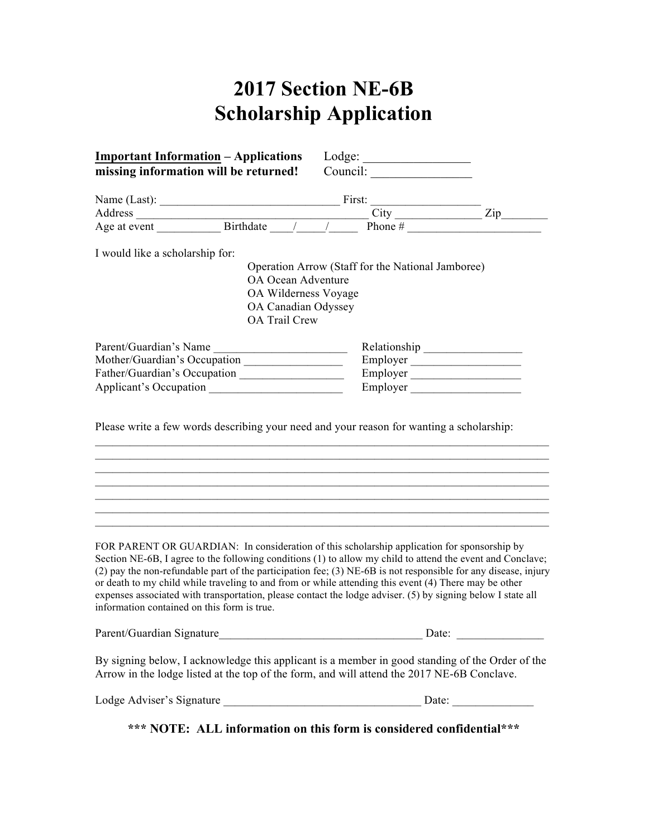## **2017 Section NE-6B Scholarship Application**

| <b>Important Information</b> – Applications<br>$\text{Lodge:}\n \underline{\hspace{2cm}}$ |                        |                                                                                                                                                                                                                                                                                                                                                                                                                                                      |          |  |
|-------------------------------------------------------------------------------------------|------------------------|------------------------------------------------------------------------------------------------------------------------------------------------------------------------------------------------------------------------------------------------------------------------------------------------------------------------------------------------------------------------------------------------------------------------------------------------------|----------|--|
|                                                                                           |                        | missing information will be returned! Council: _________________________________                                                                                                                                                                                                                                                                                                                                                                     |          |  |
|                                                                                           |                        |                                                                                                                                                                                                                                                                                                                                                                                                                                                      |          |  |
|                                                                                           |                        |                                                                                                                                                                                                                                                                                                                                                                                                                                                      |          |  |
|                                                                                           |                        | Name (Last):<br>Address City City City City City 2ip 2.1.                                                                                                                                                                                                                                                                                                                                                                                            |          |  |
|                                                                                           |                        |                                                                                                                                                                                                                                                                                                                                                                                                                                                      |          |  |
| I would like a scholarship for:                                                           |                        |                                                                                                                                                                                                                                                                                                                                                                                                                                                      |          |  |
|                                                                                           |                        | Operation Arrow (Staff for the National Jamboree)                                                                                                                                                                                                                                                                                                                                                                                                    |          |  |
|                                                                                           | OA Ocean Adventure     |                                                                                                                                                                                                                                                                                                                                                                                                                                                      |          |  |
|                                                                                           | OA Wilderness Voyage   |                                                                                                                                                                                                                                                                                                                                                                                                                                                      |          |  |
|                                                                                           | OA Canadian Odyssey    |                                                                                                                                                                                                                                                                                                                                                                                                                                                      |          |  |
|                                                                                           | <b>OA Trail Crew</b>   |                                                                                                                                                                                                                                                                                                                                                                                                                                                      |          |  |
|                                                                                           | Parent/Guardian's Name |                                                                                                                                                                                                                                                                                                                                                                                                                                                      |          |  |
|                                                                                           |                        |                                                                                                                                                                                                                                                                                                                                                                                                                                                      | Employer |  |
|                                                                                           |                        |                                                                                                                                                                                                                                                                                                                                                                                                                                                      |          |  |
|                                                                                           |                        |                                                                                                                                                                                                                                                                                                                                                                                                                                                      | Employer |  |
|                                                                                           |                        |                                                                                                                                                                                                                                                                                                                                                                                                                                                      |          |  |
|                                                                                           |                        | FOR PARENT OR GUARDIAN: In consideration of this scholarship application for sponsorship by                                                                                                                                                                                                                                                                                                                                                          |          |  |
| information contained on this form is true.                                               |                        | Section NE-6B, I agree to the following conditions (1) to allow my child to attend the event and Conclave;<br>(2) pay the non-refundable part of the participation fee; (3) NE-6B is not responsible for any disease, injury<br>or death to my child while traveling to and from or while attending this event (4) There may be other<br>expenses associated with transportation, please contact the lodge adviser. (5) by signing below I state all |          |  |
| Parent/Guardian Signature                                                                 |                        | <u> 1989 - Jan James James Barbara, martxa amerikan personal (h. 1918).</u>                                                                                                                                                                                                                                                                                                                                                                          | Date:    |  |
|                                                                                           |                        | By signing below, I acknowledge this applicant is a member in good standing of the Order of the<br>Arrow in the lodge listed at the top of the form, and will attend the 2017 NE-6B Conclave.                                                                                                                                                                                                                                                        |          |  |
|                                                                                           |                        |                                                                                                                                                                                                                                                                                                                                                                                                                                                      |          |  |
|                                                                                           |                        |                                                                                                                                                                                                                                                                                                                                                                                                                                                      |          |  |

**\*\*\* NOTE: ALL information on this form is considered confidential\*\*\***